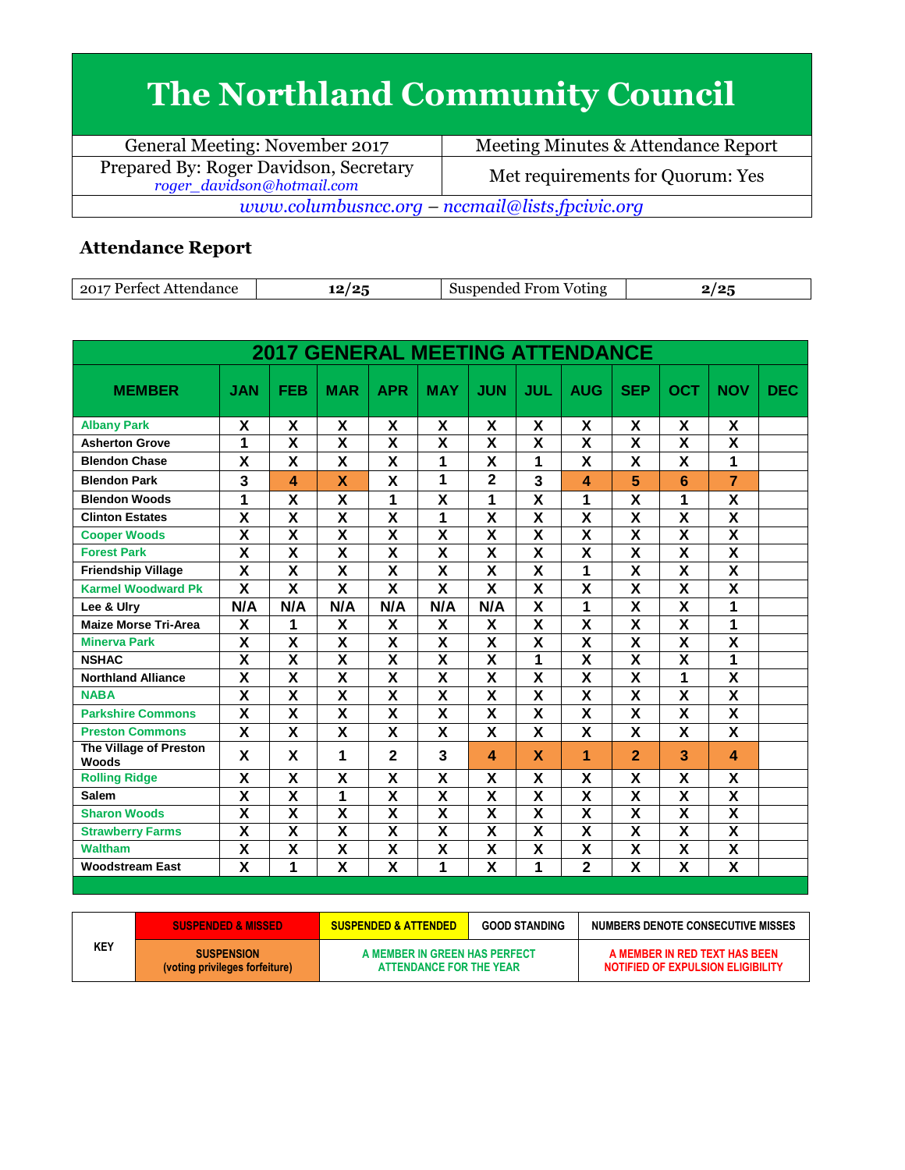## **The Northland Community Council**

| General Meeting: November 2017                                       | Meeting Minutes & Attendance Report |  |  |  |  |
|----------------------------------------------------------------------|-------------------------------------|--|--|--|--|
| Prepared By: Roger Davidson, Secretary<br>roger_davidson@hotmail.com | Met requirements for Quorum: Yes    |  |  |  |  |
| www.columbusncc.org – nccmail@lists.fpcivic.org                      |                                     |  |  |  |  |

## **Attendance Report**

| .201<br>Dortoot<br>Attendance | 1 O<br>1 o F<br> | --<br>From<br>Suspended<br>Voting |  |
|-------------------------------|------------------|-----------------------------------|--|

|                                 |                         |                         | <b>2017 GENERAL MEETING ATTENDANCE</b> |                         |                           |                           |                         |                         |                         |                         |                         |            |
|---------------------------------|-------------------------|-------------------------|----------------------------------------|-------------------------|---------------------------|---------------------------|-------------------------|-------------------------|-------------------------|-------------------------|-------------------------|------------|
| <b>MEMBER</b>                   | <b>JAN</b>              | <b>FEB</b>              | <b>MAR</b>                             | <b>APR</b>              | <b>MAY</b>                | <b>JUN</b>                | <b>JUL</b>              | <b>AUG</b>              | <b>SEP</b>              | <b>OCT</b>              | <b>NOV</b>              | <b>DEC</b> |
| <b>Albany Park</b>              | X                       | X                       | X                                      | X                       | X                         | X                         | X                       | X                       | X                       | X                       | X                       |            |
| <b>Asherton Grove</b>           | 1                       | X                       | X                                      | X                       | $\overline{\mathbf{x}}$   | $\overline{\mathbf{x}}$   | X                       | X                       | X                       | X                       | $\overline{\mathsf{x}}$ |            |
| <b>Blendon Chase</b>            | X                       | X                       | X                                      | X                       | 1                         | $\boldsymbol{\mathsf{X}}$ | 1                       | X                       | X                       | X                       | 1                       |            |
| <b>Blendon Park</b>             | 3                       | $\overline{\mathbf{A}}$ | X                                      | X                       | 1                         | $\overline{2}$            | 3                       | 4                       | 5                       | 6                       | $\overline{7}$          |            |
| <b>Blendon Woods</b>            | 1                       | $\overline{\mathsf{x}}$ | X                                      | 1                       | $\overline{\mathsf{x}}$   | 1                         | $\overline{\mathsf{x}}$ | 1                       | X                       | 1                       | $\overline{\mathbf{x}}$ |            |
| <b>Clinton Estates</b>          | $\overline{\textsf{x}}$ | $\overline{\textsf{x}}$ | $\overline{\textsf{x}}$                | $\overline{\mathsf{x}}$ | 1                         | $\overline{\mathbf{x}}$   | $\overline{\mathsf{x}}$ | $\overline{\mathbf{x}}$ | $\overline{\mathbf{x}}$ | $\overline{\textsf{x}}$ | $\overline{\mathsf{x}}$ |            |
| <b>Cooper Woods</b>             | X                       | X                       | X                                      | X                       | $\boldsymbol{\mathsf{X}}$ | $\boldsymbol{\mathsf{X}}$ | X                       | X                       | X                       | X                       | X                       |            |
| <b>Forest Park</b>              | $\overline{\mathsf{x}}$ | $\overline{\mathsf{x}}$ | $\overline{\mathsf{x}}$                | $\overline{\mathbf{X}}$ | $\overline{\mathbf{X}}$   | $\overline{\mathbf{x}}$   | $\overline{\mathbf{x}}$ | $\overline{\mathsf{x}}$ | $\overline{\mathsf{x}}$ | $\overline{\mathsf{x}}$ | $\overline{\mathsf{x}}$ |            |
| <b>Friendship Village</b>       | X                       | X                       | X                                      | X                       | X                         | X                         | X                       | 1                       | X                       | X                       | $\overline{\mathsf{x}}$ |            |
| <b>Karmel Woodward Pk</b>       | $\overline{\mathsf{x}}$ | $\overline{\mathsf{x}}$ | $\overline{\mathsf{x}}$                | $\overline{\mathsf{x}}$ | X                         | $\overline{\mathbf{x}}$   | $\overline{\mathsf{x}}$ | X                       | X                       | $\overline{\mathsf{x}}$ | $\overline{\mathsf{x}}$ |            |
| Lee & Ulry                      | N/A                     | N/A                     | N/A                                    | N/A                     | N/A                       | N/A                       | $\overline{\textbf{x}}$ | 1                       | $\overline{\mathsf{x}}$ | $\overline{\mathbf{x}}$ | 1                       |            |
| <b>Maize Morse Tri-Area</b>     | X                       | 1                       | X                                      | X                       | X                         | X                         | X                       | X                       | X                       | X                       | 1                       |            |
| <b>Minerva Park</b>             | $\overline{\mathsf{x}}$ | $\overline{\mathsf{x}}$ | $\overline{\mathsf{x}}$                | $\overline{\mathsf{x}}$ | $\overline{\mathbf{x}}$   | $\overline{\mathbf{x}}$   | $\overline{\mathsf{x}}$ | $\overline{\mathsf{x}}$ | $\overline{\mathsf{x}}$ | $\overline{\mathsf{x}}$ | $\overline{\mathsf{x}}$ |            |
| <b>NSHAC</b>                    | X                       | X                       | X                                      | $\overline{\mathsf{x}}$ | $\overline{\mathbf{x}}$   | X                         | 1                       | X                       | X                       | X                       | 1                       |            |
| <b>Northland Alliance</b>       | X                       | $\overline{\mathsf{x}}$ | $\overline{\mathsf{x}}$                | $\overline{\mathsf{x}}$ | $\overline{\mathbf{x}}$   | $\overline{\mathbf{x}}$   | X                       | $\overline{\mathsf{x}}$ | $\overline{\mathsf{x}}$ | 1                       | $\overline{\mathsf{x}}$ |            |
| <b>NABA</b>                     | $\overline{\textsf{x}}$ | $\overline{\mathsf{x}}$ | $\overline{\mathsf{x}}$                | $\overline{\mathsf{x}}$ | $\overline{\mathbf{X}}$   | $\overline{\mathsf{x}}$   | $\overline{\mathsf{x}}$ | $\overline{\mathsf{x}}$ | $\overline{\mathsf{x}}$ | $\overline{\mathsf{x}}$ | $\overline{\mathsf{x}}$ |            |
| <b>Parkshire Commons</b>        | X                       | X                       | X                                      | X                       | X                         | $\boldsymbol{\mathsf{X}}$ | X                       | X                       | X                       | X                       | X                       |            |
| <b>Preston Commons</b>          | $\overline{\mathbf{x}}$ | X                       | X                                      | X                       | X                         | X                         | X                       | X                       | X                       | X                       | $\overline{\mathsf{x}}$ |            |
| The Village of Preston<br>Woods | X                       | X                       | 1                                      | $\overline{2}$          | 3                         | 4                         | X                       | 1                       | $\overline{2}$          | 3                       | $\boldsymbol{\Lambda}$  |            |
| <b>Rolling Ridge</b>            | X                       | X                       | X                                      | X                       | X                         | X                         | X                       | X                       | X                       | X                       | X                       |            |
| <b>Salem</b>                    | $\overline{\mathsf{x}}$ | $\overline{\mathsf{x}}$ | 1                                      | $\overline{\mathsf{x}}$ | $\overline{\mathbf{X}}$   | $\overline{\mathbf{x}}$   | $\overline{\mathbf{x}}$ | $\overline{\mathsf{x}}$ | $\overline{\mathsf{x}}$ | $\overline{\mathsf{x}}$ | $\overline{\mathsf{x}}$ |            |
| <b>Sharon Woods</b>             | $\overline{\textsf{x}}$ | $\overline{\mathsf{x}}$ | $\overline{\mathsf{x}}$                | $\overline{\mathsf{x}}$ | $\overline{\mathbf{X}}$   | $\overline{\mathbf{x}}$   | $\overline{\mathbf{x}}$ | $\overline{\mathsf{x}}$ | $\overline{\mathbf{x}}$ | $\overline{\mathsf{x}}$ | $\overline{\mathsf{x}}$ |            |
| <b>Strawberry Farms</b>         | $\overline{\textsf{x}}$ | $\overline{\mathbf{x}}$ | $\overline{\mathsf{x}}$                | $\overline{\mathbf{X}}$ | X                         | $\overline{\mathbf{X}}$   | $\overline{\mathsf{x}}$ | X                       | X                       | $\overline{\mathsf{x}}$ | $\overline{\mathsf{x}}$ |            |
| <b>Waltham</b>                  | X                       | X                       | X                                      | X                       | $\overline{\mathbf{X}}$   | $\overline{\mathbf{X}}$   | X                       | X                       | $\overline{\mathsf{x}}$ | X                       | $\overline{\mathsf{x}}$ |            |
| <b>Woodstream East</b>          | $\overline{\textsf{x}}$ | 1                       | $\overline{\textsf{x}}$                | $\overline{\mathsf{x}}$ | 1                         | $\overline{\mathbf{x}}$   | 1                       | $\mathbf 2$             | $\overline{\mathsf{x}}$ | $\overline{\mathsf{x}}$ | $\overline{\mathsf{x}}$ |            |

|     | <b>SUSPENDED &amp; MISSED</b>                       | <b>GOOD STANDING</b><br><b>SUSPENDED &amp; ATTENDED</b>  |  | NUMBERS DENOTE CONSECUTIVE MISSES                                  |
|-----|-----------------------------------------------------|----------------------------------------------------------|--|--------------------------------------------------------------------|
| KEY | <b>SUSPENSION</b><br>(voting privileges forfeiture) | A MEMBER IN GREEN HAS PERFECT<br>ATTENDANCE FOR THE YEAR |  | A MEMBER IN RED TEXT HAS BEEN<br>NOTIFIED OF EXPULSION ELIGIBILITY |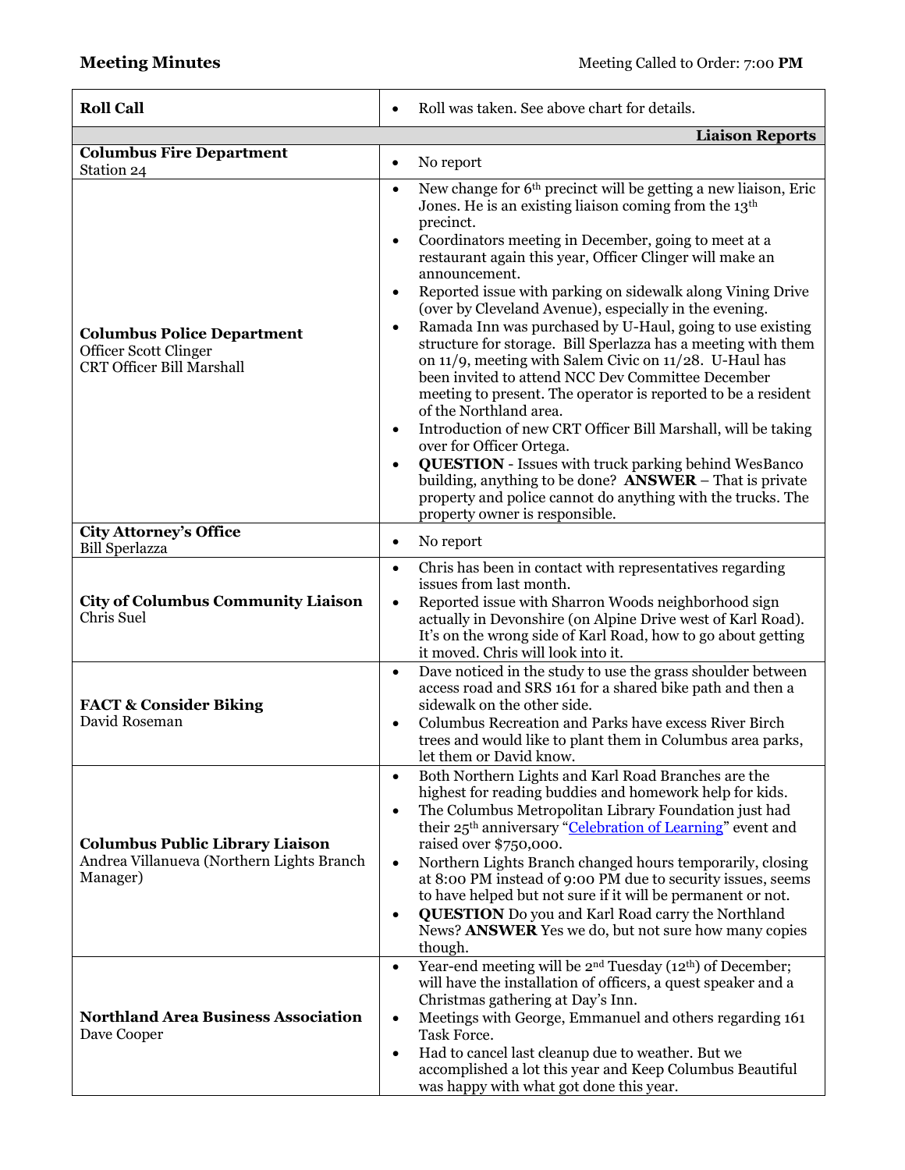| <b>Roll Call</b>                                                                                | Roll was taken. See above chart for details.                                                                                                                                                                                                                                                                                                                                                                                                                                                                                                                                                                                                                                                                                                                                                                                                                                                                                                                                                                                                                                                                                                                                    |  |  |  |
|-------------------------------------------------------------------------------------------------|---------------------------------------------------------------------------------------------------------------------------------------------------------------------------------------------------------------------------------------------------------------------------------------------------------------------------------------------------------------------------------------------------------------------------------------------------------------------------------------------------------------------------------------------------------------------------------------------------------------------------------------------------------------------------------------------------------------------------------------------------------------------------------------------------------------------------------------------------------------------------------------------------------------------------------------------------------------------------------------------------------------------------------------------------------------------------------------------------------------------------------------------------------------------------------|--|--|--|
|                                                                                                 | <b>Liaison Reports</b>                                                                                                                                                                                                                                                                                                                                                                                                                                                                                                                                                                                                                                                                                                                                                                                                                                                                                                                                                                                                                                                                                                                                                          |  |  |  |
| <b>Columbus Fire Department</b><br>Station 24                                                   | No report<br>$\bullet$                                                                                                                                                                                                                                                                                                                                                                                                                                                                                                                                                                                                                                                                                                                                                                                                                                                                                                                                                                                                                                                                                                                                                          |  |  |  |
| <b>Columbus Police Department</b><br>Officer Scott Clinger<br><b>CRT Officer Bill Marshall</b>  | New change for 6 <sup>th</sup> precinct will be getting a new liaison, Eric<br>$\bullet$<br>Jones. He is an existing liaison coming from the 13 <sup>th</sup><br>precinct.<br>Coordinators meeting in December, going to meet at a<br>$\bullet$<br>restaurant again this year, Officer Clinger will make an<br>announcement.<br>Reported issue with parking on sidewalk along Vining Drive<br>$\bullet$<br>(over by Cleveland Avenue), especially in the evening.<br>Ramada Inn was purchased by U-Haul, going to use existing<br>$\bullet$<br>structure for storage. Bill Sperlazza has a meeting with them<br>on 11/9, meeting with Salem Civic on 11/28. U-Haul has<br>been invited to attend NCC Dev Committee December<br>meeting to present. The operator is reported to be a resident<br>of the Northland area.<br>Introduction of new CRT Officer Bill Marshall, will be taking<br>$\bullet$<br>over for Officer Ortega.<br><b>QUESTION</b> - Issues with truck parking behind WesBanco<br>$\bullet$<br>building, anything to be done? <b>ANSWER</b> – That is private<br>property and police cannot do anything with the trucks. The<br>property owner is responsible. |  |  |  |
| <b>City Attorney's Office</b><br><b>Bill Sperlazza</b>                                          | No report<br>$\bullet$                                                                                                                                                                                                                                                                                                                                                                                                                                                                                                                                                                                                                                                                                                                                                                                                                                                                                                                                                                                                                                                                                                                                                          |  |  |  |
| <b>City of Columbus Community Liaison</b><br>Chris Suel                                         | Chris has been in contact with representatives regarding<br>$\bullet$<br>issues from last month.<br>Reported issue with Sharron Woods neighborhood sign<br>$\bullet$<br>actually in Devonshire (on Alpine Drive west of Karl Road).<br>It's on the wrong side of Karl Road, how to go about getting<br>it moved. Chris will look into it.<br>Dave noticed in the study to use the grass shoulder between<br>$\bullet$                                                                                                                                                                                                                                                                                                                                                                                                                                                                                                                                                                                                                                                                                                                                                           |  |  |  |
| <b>FACT &amp; Consider Biking</b><br>David Roseman                                              | access road and SRS 161 for a shared bike path and then a<br>sidewalk on the other side.<br>Columbus Recreation and Parks have excess River Birch<br>$\bullet$<br>trees and would like to plant them in Columbus area parks,<br>let them or David know.                                                                                                                                                                                                                                                                                                                                                                                                                                                                                                                                                                                                                                                                                                                                                                                                                                                                                                                         |  |  |  |
| <b>Columbus Public Library Liaison</b><br>Andrea Villanueva (Northern Lights Branch<br>Manager) | Both Northern Lights and Karl Road Branches are the<br>$\bullet$<br>highest for reading buddies and homework help for kids.<br>The Columbus Metropolitan Library Foundation just had<br>$\bullet$<br>their 25 <sup>th</sup> anniversary "Celebration of Learning" event and<br>raised over \$750,000.<br>Northern Lights Branch changed hours temporarily, closing<br>$\bullet$<br>at 8:00 PM instead of 9:00 PM due to security issues, seems<br>to have helped but not sure if it will be permanent or not.<br><b>QUESTION</b> Do you and Karl Road carry the Northland<br>News? ANSWER Yes we do, but not sure how many copies<br>though.                                                                                                                                                                                                                                                                                                                                                                                                                                                                                                                                    |  |  |  |
| <b>Northland Area Business Association</b><br>Dave Cooper                                       | Year-end meeting will be 2 <sup>nd</sup> Tuesday (12 <sup>th</sup> ) of December;<br>$\bullet$<br>will have the installation of officers, a quest speaker and a<br>Christmas gathering at Day's Inn.<br>Meetings with George, Emmanuel and others regarding 161<br>$\bullet$<br>Task Force.<br>Had to cancel last cleanup due to weather. But we<br>$\bullet$<br>accomplished a lot this year and Keep Columbus Beautiful<br>was happy with what got done this year.                                                                                                                                                                                                                                                                                                                                                                                                                                                                                                                                                                                                                                                                                                            |  |  |  |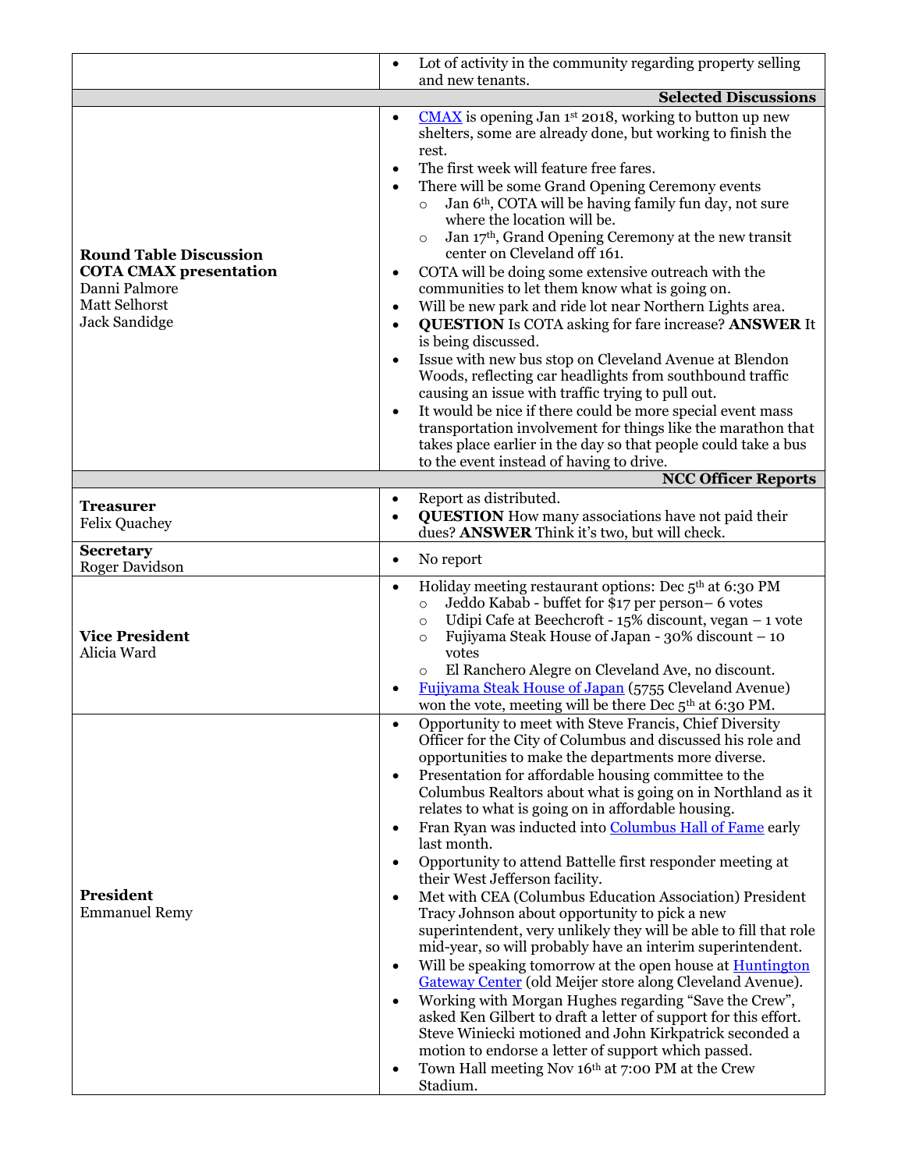|                                                                                                                   | Lot of activity in the community regarding property selling<br>$\bullet$                                                                                                                                                                                                                                                                                                                                                                                                                                                                                                                                                                                                                                                                                                                                                                                                                                                                                                                                                                                                                                                                                                                                                                                                                                 |  |  |  |
|-------------------------------------------------------------------------------------------------------------------|----------------------------------------------------------------------------------------------------------------------------------------------------------------------------------------------------------------------------------------------------------------------------------------------------------------------------------------------------------------------------------------------------------------------------------------------------------------------------------------------------------------------------------------------------------------------------------------------------------------------------------------------------------------------------------------------------------------------------------------------------------------------------------------------------------------------------------------------------------------------------------------------------------------------------------------------------------------------------------------------------------------------------------------------------------------------------------------------------------------------------------------------------------------------------------------------------------------------------------------------------------------------------------------------------------|--|--|--|
|                                                                                                                   | and new tenants.                                                                                                                                                                                                                                                                                                                                                                                                                                                                                                                                                                                                                                                                                                                                                                                                                                                                                                                                                                                                                                                                                                                                                                                                                                                                                         |  |  |  |
| <b>Round Table Discussion</b><br><b>COTA CMAX presentation</b><br>Danni Palmore<br>Matt Selhorst<br>Jack Sandidge | <b>Selected Discussions</b><br>$\underline{\text{CMAX}}$ is opening Jan 1st 2018, working to button up new<br>$\bullet$<br>shelters, some are already done, but working to finish the<br>rest.<br>The first week will feature free fares.<br>$\bullet$<br>There will be some Grand Opening Ceremony events<br>$\bullet$<br>Jan 6 <sup>th</sup> , COTA will be having family fun day, not sure<br>where the location will be.<br>Jan 17th, Grand Opening Ceremony at the new transit<br>$\circ$<br>center on Cleveland off 161.<br>COTA will be doing some extensive outreach with the<br>٠<br>communities to let them know what is going on.<br>Will be new park and ride lot near Northern Lights area.<br>$\bullet$<br><b>QUESTION</b> Is COTA asking for fare increase? ANSWER It<br>$\bullet$<br>is being discussed.<br>Issue with new bus stop on Cleveland Avenue at Blendon<br>$\bullet$<br>Woods, reflecting car headlights from southbound traffic<br>causing an issue with traffic trying to pull out.                                                                                                                                                                                                                                                                                         |  |  |  |
|                                                                                                                   | It would be nice if there could be more special event mass<br>$\bullet$<br>transportation involvement for things like the marathon that<br>takes place earlier in the day so that people could take a bus<br>to the event instead of having to drive.                                                                                                                                                                                                                                                                                                                                                                                                                                                                                                                                                                                                                                                                                                                                                                                                                                                                                                                                                                                                                                                    |  |  |  |
|                                                                                                                   | <b>NCC Officer Reports</b>                                                                                                                                                                                                                                                                                                                                                                                                                                                                                                                                                                                                                                                                                                                                                                                                                                                                                                                                                                                                                                                                                                                                                                                                                                                                               |  |  |  |
| <b>Treasurer</b><br><b>Felix Quachey</b>                                                                          | Report as distributed.<br>$\bullet$<br><b>QUESTION</b> How many associations have not paid their<br>$\bullet$<br>dues? ANSWER Think it's two, but will check.                                                                                                                                                                                                                                                                                                                                                                                                                                                                                                                                                                                                                                                                                                                                                                                                                                                                                                                                                                                                                                                                                                                                            |  |  |  |
| <b>Secretary</b><br><b>Roger Davidson</b>                                                                         | No report<br>$\bullet$                                                                                                                                                                                                                                                                                                                                                                                                                                                                                                                                                                                                                                                                                                                                                                                                                                                                                                                                                                                                                                                                                                                                                                                                                                                                                   |  |  |  |
| <b>Vice President</b><br>Alicia Ward                                                                              | Holiday meeting restaurant options: Dec 5th at 6:30 PM<br>$\bullet$<br>Jeddo Kabab - buffet for \$17 per person-6 votes<br>$\circ$<br>Udipi Cafe at Beechcroft - $15\%$ discount, vegan $-1$ vote<br>$\circ$<br>Fujiyama Steak House of Japan - 30% discount – 10<br>$\circ$<br>votes<br>El Ranchero Alegre on Cleveland Ave, no discount.<br>$\circ$<br>Fujiyama Steak House of Japan (5755 Cleveland Avenue)<br>won the vote, meeting will be there Dec 5 <sup>th</sup> at 6:30 PM.                                                                                                                                                                                                                                                                                                                                                                                                                                                                                                                                                                                                                                                                                                                                                                                                                    |  |  |  |
| <b>President</b><br><b>Emmanuel Remy</b>                                                                          | Opportunity to meet with Steve Francis, Chief Diversity<br>Officer for the City of Columbus and discussed his role and<br>opportunities to make the departments more diverse.<br>Presentation for affordable housing committee to the<br>$\bullet$<br>Columbus Realtors about what is going on in Northland as it<br>relates to what is going on in affordable housing.<br>Fran Ryan was inducted into Columbus Hall of Fame early<br>$\bullet$<br>last month.<br>Opportunity to attend Battelle first responder meeting at<br>$\bullet$<br>their West Jefferson facility.<br>Met with CEA (Columbus Education Association) President<br>$\bullet$<br>Tracy Johnson about opportunity to pick a new<br>superintendent, very unlikely they will be able to fill that role<br>mid-year, so will probably have an interim superintendent.<br>Will be speaking tomorrow at the open house at <b>Huntington</b><br>Gateway Center (old Meijer store along Cleveland Avenue).<br>Working with Morgan Hughes regarding "Save the Crew",<br>$\bullet$<br>asked Ken Gilbert to draft a letter of support for this effort.<br>Steve Winiecki motioned and John Kirkpatrick seconded a<br>motion to endorse a letter of support which passed.<br>Town Hall meeting Nov 16th at 7:00 PM at the Crew<br>٠<br>Stadium. |  |  |  |